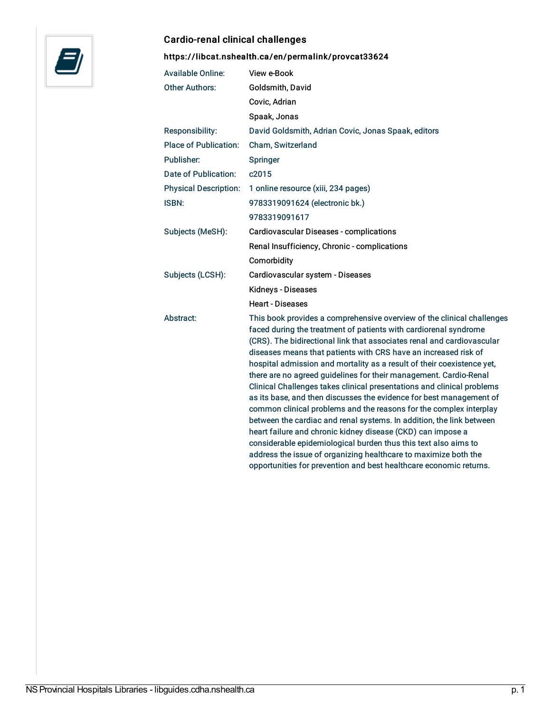

## Cardio-renal clinical challenges

<https://libcat.nshealth.ca/en/permalink/provcat33624>

| <b>Available Online:</b>     | View e-Book                                                                                                                                                                                                                                                                                                                                                                                                                                                                                                                                                                                                                                                                                                                                                                                                                                                                                                                                |
|------------------------------|--------------------------------------------------------------------------------------------------------------------------------------------------------------------------------------------------------------------------------------------------------------------------------------------------------------------------------------------------------------------------------------------------------------------------------------------------------------------------------------------------------------------------------------------------------------------------------------------------------------------------------------------------------------------------------------------------------------------------------------------------------------------------------------------------------------------------------------------------------------------------------------------------------------------------------------------|
| <b>Other Authors:</b>        | Goldsmith, David                                                                                                                                                                                                                                                                                                                                                                                                                                                                                                                                                                                                                                                                                                                                                                                                                                                                                                                           |
|                              | Covic, Adrian                                                                                                                                                                                                                                                                                                                                                                                                                                                                                                                                                                                                                                                                                                                                                                                                                                                                                                                              |
|                              | Spaak, Jonas                                                                                                                                                                                                                                                                                                                                                                                                                                                                                                                                                                                                                                                                                                                                                                                                                                                                                                                               |
| Responsibility:              | David Goldsmith, Adrian Covic, Jonas Spaak, editors                                                                                                                                                                                                                                                                                                                                                                                                                                                                                                                                                                                                                                                                                                                                                                                                                                                                                        |
| <b>Place of Publication:</b> | Cham, Switzerland                                                                                                                                                                                                                                                                                                                                                                                                                                                                                                                                                                                                                                                                                                                                                                                                                                                                                                                          |
| Publisher:                   | Springer                                                                                                                                                                                                                                                                                                                                                                                                                                                                                                                                                                                                                                                                                                                                                                                                                                                                                                                                   |
| Date of Publication:         | c2015                                                                                                                                                                                                                                                                                                                                                                                                                                                                                                                                                                                                                                                                                                                                                                                                                                                                                                                                      |
| <b>Physical Description:</b> | 1 online resource (xiii, 234 pages)                                                                                                                                                                                                                                                                                                                                                                                                                                                                                                                                                                                                                                                                                                                                                                                                                                                                                                        |
| ISBN:                        | 9783319091624 (electronic bk.)                                                                                                                                                                                                                                                                                                                                                                                                                                                                                                                                                                                                                                                                                                                                                                                                                                                                                                             |
|                              | 9783319091617                                                                                                                                                                                                                                                                                                                                                                                                                                                                                                                                                                                                                                                                                                                                                                                                                                                                                                                              |
| Subjects (MeSH):             | Cardiovascular Diseases - complications                                                                                                                                                                                                                                                                                                                                                                                                                                                                                                                                                                                                                                                                                                                                                                                                                                                                                                    |
|                              | Renal Insufficiency, Chronic - complications                                                                                                                                                                                                                                                                                                                                                                                                                                                                                                                                                                                                                                                                                                                                                                                                                                                                                               |
|                              | Comorbidity                                                                                                                                                                                                                                                                                                                                                                                                                                                                                                                                                                                                                                                                                                                                                                                                                                                                                                                                |
| Subjects (LCSH):             | Cardiovascular system - Diseases                                                                                                                                                                                                                                                                                                                                                                                                                                                                                                                                                                                                                                                                                                                                                                                                                                                                                                           |
|                              | Kidneys - Diseases                                                                                                                                                                                                                                                                                                                                                                                                                                                                                                                                                                                                                                                                                                                                                                                                                                                                                                                         |
|                              | <b>Heart - Diseases</b>                                                                                                                                                                                                                                                                                                                                                                                                                                                                                                                                                                                                                                                                                                                                                                                                                                                                                                                    |
| Abstract:                    | This book provides a comprehensive overview of the clinical challenges<br>faced during the treatment of patients with cardiorenal syndrome<br>(CRS). The bidirectional link that associates renal and cardiovascular<br>diseases means that patients with CRS have an increased risk of<br>hospital admission and mortality as a result of their coexistence yet,<br>there are no agreed guidelines for their management. Cardio-Renal<br>Clinical Challenges takes clinical presentations and clinical problems<br>as its base, and then discusses the evidence for best management of<br>common clinical problems and the reasons for the complex interplay<br>between the cardiac and renal systems. In addition, the link between<br>heart failure and chronic kidney disease (CKD) can impose a<br>considerable epidemiological burden thus this text also aims to<br>address the issue of organizing healthcare to maximize both the |
|                              | opportunities for prevention and best healthcare economic returns.                                                                                                                                                                                                                                                                                                                                                                                                                                                                                                                                                                                                                                                                                                                                                                                                                                                                         |